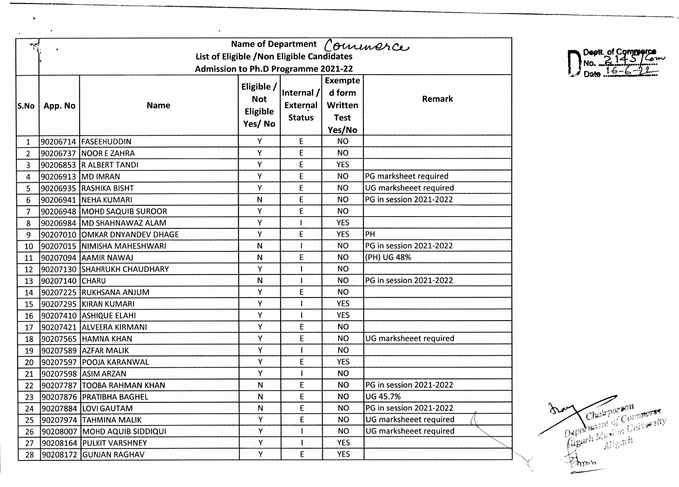|                |                                            |                               |              |                 |                | Name of Department Comunerce |  |  |  |
|----------------|--------------------------------------------|-------------------------------|--------------|-----------------|----------------|------------------------------|--|--|--|
|                | List of Eligible / Non Eligible Candidates |                               |              |                 |                |                              |  |  |  |
|                | <b>Admission to Ph.D Programme 2021-22</b> |                               |              |                 |                |                              |  |  |  |
|                |                                            |                               | Eligible /   |                 | <b>Exempte</b> |                              |  |  |  |
|                |                                            |                               | <b>Not</b>   | Internal /      | d form         | Remark                       |  |  |  |
| S.No           | App. No                                    | <b>Name</b>                   | Eligible     | <b>External</b> | Written        |                              |  |  |  |
|                |                                            |                               | Yes/No       | <b>Status</b>   | <b>Test</b>    |                              |  |  |  |
|                |                                            |                               |              |                 | Yes/No         |                              |  |  |  |
| $\mathbf{1}$   |                                            | 90206714 FASEEHUDDIN          | Y            | E               | <b>NO</b>      |                              |  |  |  |
| $\overline{2}$ |                                            | 90206737  NOOR E ZAHRA        | Y            | E               | <b>NO</b>      |                              |  |  |  |
| 3              |                                            | 90206853 R ALBERT TANDI       | Y            | E               | <b>YES</b>     |                              |  |  |  |
| 4              |                                            | 90206913 MD IMRAN             | Y            | E               | <b>NO</b>      | PG marksheet required        |  |  |  |
| 5              |                                            | 90206935 RASHIKA BISHT        | Υ            | E               | <b>NO</b>      | UG marksheeet required       |  |  |  |
| 6              |                                            | 90206941   NEHA KUMARI        | N            | E               | <b>NO</b>      | PG in session 2021-2022      |  |  |  |
| $\overline{7}$ |                                            | 90206948 MOHD SAQUIB SUROOR   | Y            | E               | <b>NO</b>      |                              |  |  |  |
| 8              |                                            | 90206984 MD SHAHNAWAZ ALAM    | Y            |                 | <b>YES</b>     |                              |  |  |  |
| 9              |                                            | 90207010 OMKAR DNYANDEV DHAGE | Y            | E               | <b>YES</b>     | PH                           |  |  |  |
| 10             |                                            | 90207015 NIMISHA MAHESHWARI   | N            | -1              | <b>NO</b>      | PG in session 2021-2022      |  |  |  |
| 11             |                                            | 90207094 AAMIR NAWAJ          | N            | E               | <b>NO</b>      | (PH) UG 48%                  |  |  |  |
| 12             |                                            | 90207130 SHAHRUKH CHAUDHARY   | Υ            |                 | <b>NO</b>      |                              |  |  |  |
| 13             | 90207140 CHARU                             |                               | $\mathsf{N}$ |                 | <b>NO</b>      | PG in session 2021-2022      |  |  |  |
| 14             |                                            | 90207225 RUKHSANA ANJUM       | Y            | E               | <b>NO</b>      |                              |  |  |  |
| 15             |                                            | 90207295 KIRAN KUMARI         | Υ            |                 | <b>YES</b>     |                              |  |  |  |
| 16             |                                            | 90207410 ASHIQUE ELAHI        | Y            |                 | <b>YES</b>     |                              |  |  |  |
| 17             |                                            | 90207421  ALVEERA KIRMANI     | Υ            | E               | <b>NO</b>      |                              |  |  |  |
| 18             |                                            | 90207565 HAMNA KHAN           | Υ            | E               | <b>NO</b>      | UG marksheeet required       |  |  |  |
| 19             |                                            | 90207589 AZFAR MALIK          | Υ            |                 | <b>NO</b>      |                              |  |  |  |
| 20             |                                            | 90207597 POOJA KARANWAL       | Y            | E               | <b>YES</b>     |                              |  |  |  |
| 21             |                                            | 90207598 ASIM ARZAN           | Υ            |                 | <b>NO</b>      |                              |  |  |  |
| 22             |                                            | 90207787 TOOBA RAHMAN KHAN    | N            | E               | <b>NO</b>      | PG in session 2021-2022      |  |  |  |
| 23             |                                            | 90207876 PRATIBHA BAGHEL      | $\mathsf{N}$ | E               | <b>NO</b>      | <b>UG 45.7%</b>              |  |  |  |
| 24             |                                            | 90207884 LOVI GAUTAM          | N            | E               | <b>NO</b>      | PG in session 2021-2022      |  |  |  |
| 25             |                                            | 90207974 TAHMINA MALIK        | Y            | E               | <b>NO</b>      | UG marksheeet required       |  |  |  |
| 26             |                                            | 90208007 MOHD AQUIB SIDDIQUI  | Y            |                 | <b>NO</b>      | UG marksheeet required       |  |  |  |
| 27             |                                            | 90208164 PULKIT VARSHNEY      | Y            |                 | <b>YES</b>     |                              |  |  |  |
| 28             |                                            | 90208172 GUNJAN RAGHAV        | Y            | E               | <b>YES</b>     |                              |  |  |  |

 $\alpha$ 

 $\sim 10^{-10}$ 

 $\sim 10$ 

Deptt. of Commerce Date  $16 -$ 

Over Chairporson Inay **Explorer** شصر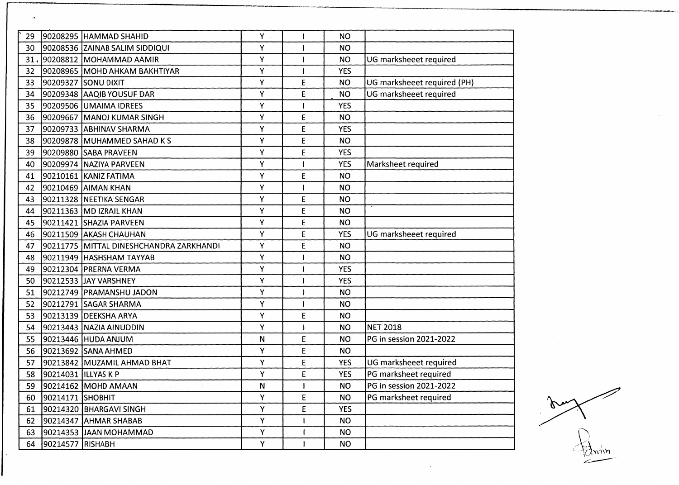| 29  |                       | 90208295 HAMMAD SHAHID                   | Y |             | <b>NO</b>  |                             |
|-----|-----------------------|------------------------------------------|---|-------------|------------|-----------------------------|
| 30  |                       | 90208536 ZAINAB SALIM SIDDIQUI           | Y |             | <b>NO</b>  |                             |
| 31. |                       | 90208812 MOHAMMAD AAMIR                  | Y |             | <b>NO</b>  | UG marksheeet required      |
| 32  |                       | 90208965 MOHD AHKAM BAKHTIYAR            | Y |             | <b>YES</b> |                             |
| 33  |                       | 90209327 SONU DIXIT                      | Υ | Ε           | <b>NO</b>  | UG marksheeet required (PH) |
| 34  |                       | 90209348 AAQIB YOUSUF DAR                | Υ | E           | <b>NO</b>  | UG marksheeet required      |
| 35  |                       | 90209506 JUMAIMA IDREES                  | Υ |             | <b>YES</b> |                             |
| 36  |                       | 90209667 MANOJ KUMAR SINGH               | Υ | E           | <b>NO</b>  |                             |
| 37  |                       | 90209733 ABHINAV SHARMA                  | Υ | E           | <b>YES</b> |                             |
| 38  |                       | 90209878 MUHAMMED SAHAD K S              | Υ | E           | <b>NO</b>  |                             |
| 39  |                       | 90209880 SABA PRAVEEN                    | Υ | E           | <b>YES</b> |                             |
| 40  |                       | 90209974   NAZIYA PARVEEN                | Y |             | <b>YES</b> | Marksheet required          |
| 41  |                       | 90210161 KANIZ FATIMA                    | Υ | E           | <b>NO</b>  |                             |
| 42  |                       | 190210469  AIMAN KHAN                    | Υ |             | <b>NO</b>  |                             |
| 43  |                       | 90211328 NEETIKA SENGAR                  | Y | E           | <b>NO</b>  |                             |
| 44  |                       | 90211363 MD IZRAIL KHAN                  | Υ | $\mathsf E$ | <b>NO</b>  |                             |
| 45  |                       | 90211421 SHAZIA PARVEEN                  | Υ | E           | <b>NO</b>  |                             |
| 46  |                       | 90211509 AKASH CHAUHAN                   | Υ | E           | <b>YES</b> | UG marksheeet required      |
| 47  |                       | 90211775  MITTAL DINESHCHANDRA ZARKHANDI | Υ | E           | <b>NO</b>  |                             |
| 48  |                       | 90211949 HASHSHAM TAYYAB                 | Y |             | <b>NO</b>  |                             |
| 49  |                       | 90212304 PRERNA VERMA                    | Υ |             | <b>YES</b> |                             |
| 50  |                       | 90212533 JJAY VARSHNEY                   | Y |             | <b>YES</b> |                             |
| 51  |                       | 90212749 PRAMANSHU JADON                 | Υ |             | <b>NO</b>  |                             |
| 52  |                       | 90212791 SAGAR SHARMA                    | Υ |             | <b>NO</b>  |                             |
| 53  |                       | 90213139 DEEKSHA ARYA                    | Y | E           | <b>NO</b>  |                             |
| 54  |                       | 90213443 NAZIA AINUDDIN                  | Y |             | <b>NO</b>  | <b>NET 2018</b>             |
| 55  |                       | 90213446 HUDA ANJUM                      | N | E           | <b>NO</b>  | PG in session 2021-2022     |
| 56  |                       | 90213692 SANA AHMED                      | Υ | E           | NO.        |                             |
| 57  |                       | 90213842 MUZAMIL AHMAD BHAT              | Υ | E           | <b>YES</b> | UG marksheeet required      |
| 58  | 90214031   ILLYAS K P |                                          | Υ | E           | <b>YES</b> | PG marksheet required       |
|     |                       | 59 90214162 MOHD AMAAN                   | N | -11         | <b>NO</b>  | PG in session 2021-2022     |
| 60  | 90214171 SHOBHIT      |                                          | Y | E           | NO         | PG marksheet required       |
| 61  |                       | 90214320 BHARGAVI SINGH                  | Υ | E           | <b>YES</b> |                             |
| 62  |                       | 90214347 AHMAR SHABAB                    | Y |             | <b>NO</b>  |                             |
| 63  |                       | 90214353 JJAAN MOHAMMAD                  | Υ |             | <b>NO</b>  |                             |
| 64  | 90214577 RISHABH      |                                          | Υ |             | <b>NO</b>  |                             |
|     |                       |                                          |   |             |            |                             |

 $\overline{a}$ 

an  $\mathbf{V}$ ŃΜ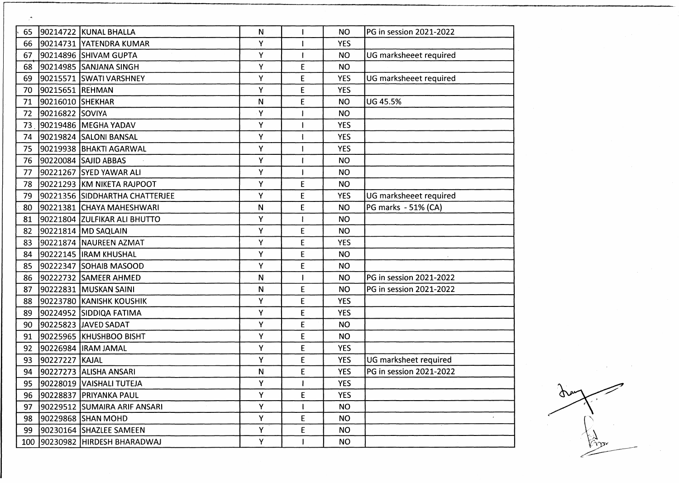| 65 |                  | 90214722 KUNAL BHALLA          | N            |             | NO.        | PG in session 2021-2022 |
|----|------------------|--------------------------------|--------------|-------------|------------|-------------------------|
| 66 |                  | 90214731 YATENDRA KUMAR        | Y            |             | <b>YES</b> |                         |
| 67 |                  | 90214896  SHIVAM GUPTA         | Υ            |             | <b>NO</b>  | UG marksheeet required  |
| 68 |                  | 90214985 SANJANA SINGH         | Υ            | E           | <b>NO</b>  |                         |
| 69 |                  | 90215571 SWATI VARSHNEY        | Υ            | $\mathsf E$ | <b>YES</b> | UG marksheeet required  |
| 70 | 90215651 REHMAN  |                                | Υ            | E           | <b>YES</b> |                         |
| 71 | 90216010 SHEKHAR |                                | N            | E           | <b>NO</b>  | <b>UG 45.5%</b>         |
| 72 | 90216822 SOVIYA  |                                | Υ            |             | <b>NO</b>  |                         |
| 73 |                  | 90219486 MEGHA YADAV           | Υ            |             | <b>YES</b> |                         |
| 74 |                  | 90219824 SALONI BANSAL         | Υ            |             | <b>YES</b> |                         |
| 75 |                  | 90219938 BHAKTI AGARWAL        | Υ            |             | <b>YES</b> |                         |
| 76 |                  | 90220084 SAJID ABBAS           | Υ            |             | <b>NO</b>  |                         |
| 77 |                  | 90221267 SYED YAWAR ALI        | Υ            |             | <b>NO</b>  |                         |
| 78 |                  | 90221293 KM NIKETA RAJPOOT     | Υ            | E           | <b>NO</b>  |                         |
| 79 |                  | 90221356 SIDDHARTHA CHATTERJEE | Υ            | E           | <b>YES</b> | UG marksheeet required  |
| 80 |                  | 90221381 CHAYA MAHESHWARI      | $\mathsf{N}$ | E           | <b>NO</b>  | PG marks - 51% (CA)     |
| 81 |                  | 90221804 ZULFIKAR ALI BHUTTO   | Υ            |             | <b>NO</b>  |                         |
| 82 |                  | 90221814 MD SAQLAIN            | Υ            | E           | <b>NO</b>  |                         |
| 83 |                  | 90221874 NAUREEN AZMAT         | Υ            | $\mathsf E$ | <b>YES</b> |                         |
| 84 |                  | 90222145  IRAM KHUSHAL         | Υ            | E           | <b>NO</b>  |                         |
| 85 |                  | 90222347 SOHAIB MASOOD         | Υ            | E           | <b>NO</b>  |                         |
| 86 |                  | 90222732 SAMEER AHMED          | N            |             | <b>NO</b>  | PG in session 2021-2022 |
| 87 |                  | 90222831 MUSKAN SAINI          | N            | E           | <b>NO</b>  | PG in session 2021-2022 |
| 88 |                  | 90223780 KANISHK KOUSHIK       | Y            | E           | <b>YES</b> |                         |
| 89 |                  | 90224952 SIDDIQA FATIMA        | Υ            | E           | <b>YES</b> |                         |
| 90 |                  | 90225823 JAVED SADAT           | Υ            | E           | <b>NO</b>  |                         |
| 91 |                  | 90225965 KHUSHBOO BISHT        | Y            | E           | <b>NO</b>  |                         |
| 92 |                  | 90226984  IRAM JAMAL           | Υ            | E           | <b>YES</b> |                         |
| 93 | 90227227 KAJAL   |                                | Υ            | E           | <b>YES</b> | UG marksheet required   |
| 94 |                  | 90227273 ALISHA ANSARI         | N            | E           | <b>YES</b> | PG in session 2021-2022 |
|    |                  | 95 90228019 VAISHALI TUTEJA    | Υ            |             | <b>YES</b> |                         |
|    |                  | 96 90228837 PRIYANKA PAUL      | Υ            | E           | <b>YES</b> |                         |
| 97 |                  | 90229512 SUMAIRA ARIF ANSARI   | Y            |             | NO         |                         |
| 98 |                  | 90229868 SHAN MOHD             | Y            | E           | <b>NO</b>  |                         |
|    |                  | 99  90230164  SHAZLEE SAMEEN   | Y            | E           | <b>NO</b>  |                         |
|    |                  | 100 90230982 HIRDESH BHARADWAJ | Y            |             | <b>NO</b>  |                         |

 $\sigma$ 

ŀ,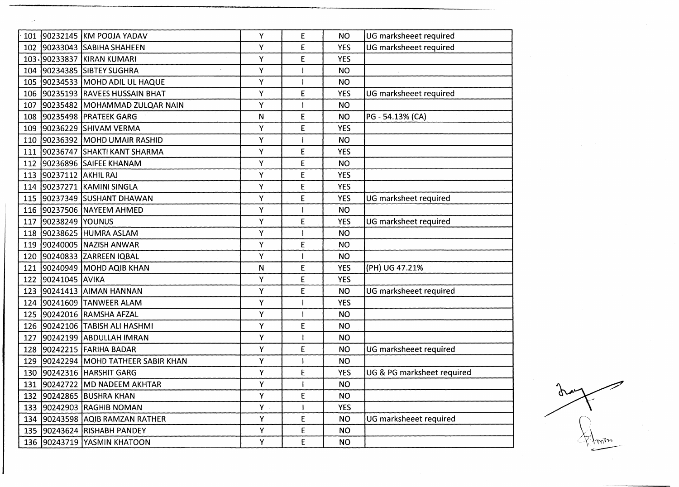|     |                    | 101 90232145 KM POOJA YADAV      | Υ         | E | <b>NO</b>  | UG marksheeet required     |
|-----|--------------------|----------------------------------|-----------|---|------------|----------------------------|
| 102 |                    | 90233043 SABIHA SHAHEEN          | Υ         | E | <b>YES</b> | UG marksheeet required     |
|     |                    | 103. 90233837 KIRAN KUMARI       | Y         | E | <b>YES</b> |                            |
|     |                    | 104 90234385 SIBTEY SUGHRA       | Υ         |   | <b>NO</b>  |                            |
|     |                    | 105 90234533 MOHD ADIL UL HAQUE  | Υ         |   | <b>NO</b>  |                            |
|     |                    | 106 90235193 RAVEES HUSSAIN BHAT | Υ         | E | <b>YES</b> | UG marksheeet required     |
| 107 |                    | 90235482 MOHAMMAD ZULQAR NAIN    | Υ         |   | <b>NO</b>  |                            |
|     |                    | 108 90235498 PRATEEK GARG        | N         | E | <b>NO</b>  | PG - 54.13% (CA)           |
|     |                    | 109 90236229 SHIVAM VERMA        | Υ         | E | <b>YES</b> |                            |
|     |                    | 110 90236392 MOHD UMAIR RASHID   | Υ         |   | <b>NO</b>  |                            |
| 111 |                    | 90236747 SHAKTI KANT SHARMA      | Υ         | E | <b>YES</b> |                            |
| 112 |                    | 90236896 SAIFEE KHANAM           | Υ         | E | <b>NO</b>  |                            |
| 113 | 90237112 AKHIL RAJ |                                  | Υ         | E | <b>YES</b> |                            |
|     |                    | 114 90237271 KAMINI SINGLA       | Υ         | E | <b>YES</b> |                            |
|     |                    | 115 90237349 SUSHANT DHAWAN      | Υ         | E | <b>YES</b> | UG marksheet required      |
|     |                    | 116 90237506 NAYEEM AHMED        | Υ         |   | <b>NO</b>  |                            |
| 117 | 90238249 YOUNUS    |                                  | Υ         | E | <b>YES</b> | UG marksheet required      |
|     |                    | 118 90238625 HUMRA ASLAM         | Υ         |   | <b>NO</b>  |                            |
|     |                    | 119 90240005 NAZISH ANWAR        | Υ         | E | <b>NO</b>  |                            |
|     |                    | 120 90240833 ZARREEN IQBAL       | Υ         |   | <b>NO</b>  |                            |
| 121 |                    | 90240949 MOHD AQIB KHAN          | ${\sf N}$ | Ë | <b>YES</b> | (PH) UG 47.21%             |
|     | 122 90241045 AVIKA |                                  | Υ         | E | <b>YES</b> |                            |
|     |                    | 123 90241413 AIMAN HANNAN        | Ÿ         | E | <b>NO</b>  | UG marksheeet required     |
|     |                    | 124 90241609 TANWEER ALAM        | Υ         |   | <b>YES</b> |                            |
|     |                    | 125 90242016 RAMSHA AFZAL        | Y         |   | <b>NO</b>  |                            |
|     |                    | 126 90242106 TABISH ALI HASHMI   | Υ         | E | <b>NO</b>  |                            |
| 127 |                    | 90242199 ABDULLAH IMRAN          | Υ         |   | <b>NO</b>  |                            |
| 128 |                    | 90242215 FARIHA BADAR            | Υ         | E | <b>NO</b>  | UG marksheeet required     |
| 129 |                    | 90242294 MOHD TATHEER SABIR KHAN | Υ         |   | <b>NO</b>  |                            |
| 130 |                    | 90242316 HARSHIT GARG            | Υ         | E | <b>YES</b> | UG & PG marksheet required |
|     |                    | 131 90242722 MD NADEEM AKHTAR    | Υ         |   | <b>NO</b>  |                            |
|     |                    | 132 90242865 BUSHRA KHAN         | Y         | E | <b>NO</b>  |                            |
|     |                    | 133 90242903 RAGHIB NOMAN        | Y         |   | <b>YES</b> |                            |
|     |                    | 134 90243598 AQIB RAMZAN RATHER  | Y         | E | <b>NO</b>  | UG marksheeet required     |
|     |                    | 135 90243624 RISHABH PANDEY      | Y         | E | <b>NO</b>  |                            |
|     |                    | 136 90243719 YASMIN KHATOON      | Υ         | E | <b>NO</b>  |                            |

 $\sim$ 

Ω∽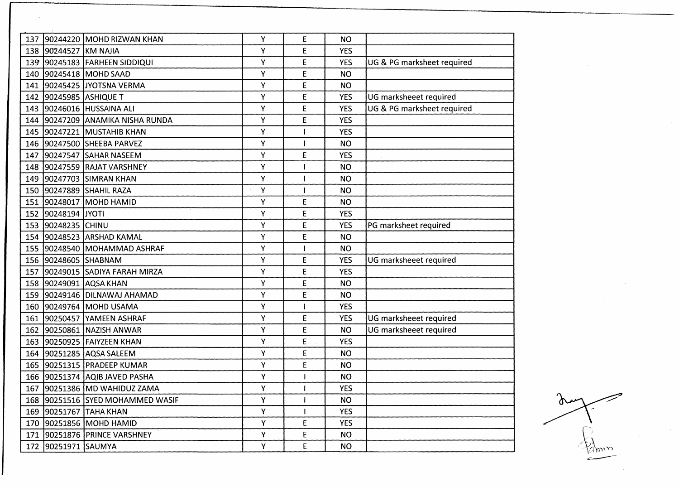| 137 |                      | 90244220 MOHD RIZWAN KHAN        | Y | E            | <b>NO</b>  |                            |
|-----|----------------------|----------------------------------|---|--------------|------------|----------------------------|
| 138 | 90244527 KM NAJIA    |                                  | Υ | E            | <b>YES</b> |                            |
| 139 |                      | 90245183 FARHEEN SIDDIQUI        | Υ | E            | <b>YES</b> | UG & PG marksheet required |
|     |                      | 140 90245418 MOHD SAAD           | Υ | E            | <b>NO</b>  |                            |
|     |                      | 141 90245425 JJYOTSNA VERMA      | Υ | E            | <b>NO</b>  |                            |
| 142 | 90245985 ASHIQUE T   |                                  | Υ | E            | <b>YES</b> | UG marksheeet required     |
| 143 |                      | 90246016 HUSSAINA ALI            | Υ | E            | <b>YES</b> | UG & PG marksheet required |
|     |                      | 144 90247209 ANAMIKA NISHA RUNDA | Υ | E            | <b>YES</b> |                            |
|     |                      | 145 90247221 MUSTAHIB KHAN       | Υ |              | <b>YES</b> |                            |
|     |                      | 146 90247500 SHEEBA PARVEZ       | Υ |              | <b>NO</b>  |                            |
|     |                      | 147 90247547 SAHAR NASEEM        | Υ | E            | <b>YES</b> |                            |
|     |                      | 148 90247559 RAJAT VARSHNEY      | Υ |              | <b>NO</b>  |                            |
|     |                      | 149 90247703 SIMRAN KHAN         | Y |              | <b>NO</b>  |                            |
| 150 |                      | 90247889 SHAHIL RAZA             | Υ |              | <b>NO</b>  |                            |
|     |                      | 151 90248017 MOHD HAMID          | Υ | E            | <b>NO</b>  |                            |
| 152 | 90248194 JYOTI       |                                  | Υ | E            | <b>YES</b> |                            |
|     | 153 90248235 CHINU   |                                  | Υ | E            | <b>YES</b> | PG marksheet required      |
|     |                      | 154 90248523 ARSHAD KAMAL        | Υ | E            | <b>NO</b>  |                            |
|     |                      | 155 90248540 MOHAMMAD ASHRAF     | Υ |              | <b>NO</b>  |                            |
|     | 156 90248605 SHABNAM |                                  | Υ | E            | <b>YES</b> | UG marksheeet required     |
| 157 |                      | 90249015 SADIYA FARAH MIRZA      | Υ | E            | <b>YES</b> |                            |
|     |                      | 158 90249091 AQSA KHAN           | Υ | E            | <b>NO</b>  |                            |
| 159 |                      | 90249146 DILNAWAJ AHAMAD         | Υ | E            | <b>NO</b>  |                            |
| 160 |                      | 90249764 MOHD USAMA              | Υ |              | <b>YES</b> |                            |
| 161 |                      | 90250457 YAMEEN ASHRAF           | Υ | E            | <b>YES</b> | UG marksheeet required     |
| 162 |                      | 90250861 NAZISH ANWAR            | Υ | E            | <b>NO</b>  | UG marksheeet required     |
| 163 |                      | 90250925 FAIYZEEN KHAN           | Y | E            | <b>YES</b> |                            |
| 164 |                      | 90251285 AQSA SALEEM             | Υ | E            | <b>NO</b>  |                            |
| 165 |                      | 90251315   PRADEEP KUMAR         | Υ | E            | <b>NO</b>  |                            |
| 166 |                      | 90251374 AQIB JAVED PASHA        | Υ |              | <b>NO</b>  |                            |
|     |                      | 167 90251386 MD WAHIDUZ ZAMA     | Υ | $\mathbf{I}$ | <b>YES</b> |                            |
|     |                      | 168 90251516 SYED MOHAMMED WASIF | Υ |              | NO.        |                            |
|     |                      | 169 90251767 TAHA KHAN           | Y |              | <b>YES</b> |                            |
|     |                      | 170 90251856 MOHD HAMID          | Y | E            | <b>YES</b> |                            |
|     |                      | 171 90251876 PRINCE VARSHNEY     | Y | E            | <b>NO</b>  |                            |
|     | 172 90251971 SAUMYA  |                                  | Υ | E            | <b>NO</b>  |                            |
|     |                      |                                  |   |              |            |                            |

 $\mathfrak{g}$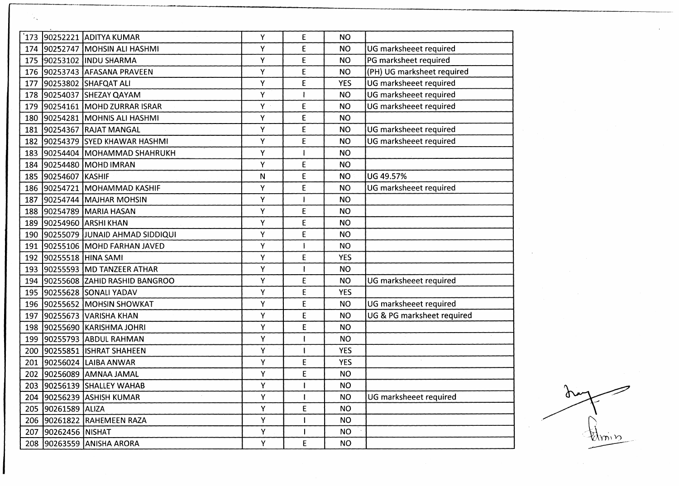| 173 |                     | 90252221 ADITYA KUMAR             | Y  | E            | <b>NO</b>  |                            |
|-----|---------------------|-----------------------------------|----|--------------|------------|----------------------------|
| 174 |                     | 90252747 MOHSIN ALI HASHMI        | Υ  | E            | <b>NO</b>  | UG marksheeet required     |
| 175 |                     | 90253102 INDU SHARMA              | Υ  | E            | <b>NO</b>  | PG marksheet required      |
| 176 |                     | 90253743 AFASANA PRAVEEN          | Υ  | E            | <b>NO</b>  | (PH) UG marksheet required |
| 177 |                     | 90253802 SHAFQAT ALI              | Υ  | E            | <b>YES</b> | UG marksheeet required     |
| 178 |                     | 90254037 SHEZAY QAYAM             | Υ  |              | <b>NO</b>  | UG marksheeet required     |
| 179 |                     | 90254161 MOHD ZURRAR ISRAR        | Y. | E            | <b>NO</b>  | UG marksheeet required     |
| 180 |                     | 90254281 MOHNIS ALI HASHMI        | Υ  | E            | <b>NO</b>  |                            |
| 181 |                     | 90254367 RAJAT MANGAL             | Υ  | E            | <b>NO</b>  | UG marksheeet required     |
| 182 |                     | 90254379 SYED KHAWAR HASHMI       | Υ  | E            | <b>NO</b>  | UG marksheeet required     |
| 183 |                     | 90254404 MOHAMMAD SHAHRUKH        | Υ  |              | <b>NO</b>  |                            |
| 184 |                     | 90254480 MOHD IMRAN               | Υ  | E            | <b>NO</b>  |                            |
|     | 185 90254607 KASHIF |                                   | N  | E            | <b>NO</b>  | UG 49.57%                  |
|     |                     | 186 90254721 MOHAMMAD KASHIF      | Υ  | E            | <b>NO</b>  | UG marksheeet required     |
| 187 |                     | 90254744 MAJHAR MOHSIN            | Υ  |              | <b>NO</b>  |                            |
| 188 |                     | 90254789 MARIA HASAN              | Υ  | E            | <b>NO</b>  |                            |
| 189 |                     | 90254960 ARSHI KHAN               | Υ  | E            | <b>NO</b>  |                            |
| 190 |                     | 90255079 JJUNAID AHMAD SIDDIQUI   | Υ  | E            | <b>NO</b>  |                            |
| 191 |                     | 90255106 MOHD FARHAN JAVED        | Υ  |              | <b>NO</b>  |                            |
| 192 |                     | 90255518 HINA SAMI                | Υ  | E            | <b>YES</b> |                            |
| 193 |                     | 90255593 MD TANZEER ATHAR         | Υ  |              | <b>NO</b>  |                            |
|     |                     | 194 90255608 ZAHID RASHID BANGROO | Υ  | E            | <b>NO</b>  | UG marksheeet required     |
| 195 |                     | 90255628 SONALI YADAV             | Υ  | E            | <b>YES</b> |                            |
| 196 |                     | 90255652 MOHSIN SHOWKAT           | Υ  | E            | <b>NO</b>  | UG marksheeet required     |
| 197 |                     | 90255673 VARISHA KHAN             | Υ  | E            | <b>NO</b>  | UG & PG marksheet required |
| 198 |                     | 90255690 KARISHMA JOHRI           | Υ  | E            | <b>NO</b>  |                            |
|     |                     | 199 90255793 ABDUL RAHMAN         | Υ  |              | <b>NO</b>  |                            |
| 200 |                     | 90255851 ISHRAT SHAHEEN           | Υ  |              | <b>YES</b> |                            |
| 201 |                     | 90256024 LAIBA ANWAR              | Υ  | E            | <b>YES</b> |                            |
| 202 |                     | 90256089 AMNAA JAMAL              | Υ  | E            | <b>NO</b>  |                            |
|     |                     | 203 90256139 SHALLEY WAHAB        | Υ  | $\mathbf{I}$ | <b>NO</b>  |                            |
|     |                     | 204 90256239 ASHISH KUMAR         | Υ  |              | <b>NO</b>  | UG marksheeet required     |
|     | 205 90261589 ALIZA  |                                   | Y  | E            | <b>NO</b>  |                            |
|     |                     | 206 90261822 RAHEMEEN RAZA        | Υ  |              | <b>NO</b>  |                            |
|     | 207 90262456 NISHAT |                                   | Υ  |              | <b>NO</b>  |                            |
|     |                     | 208 90263559 ANISHA ARORA         | Y  | E            | <b>NO</b>  |                            |

ᡗᢦ **Milly** 

 $\sim$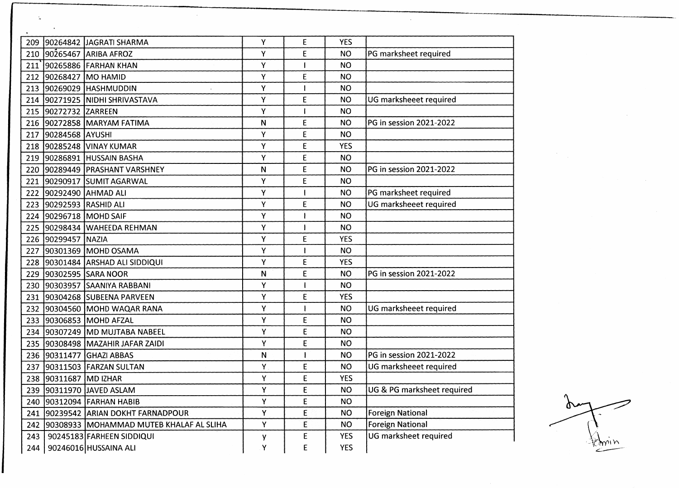| 209 |                         | 90264842 JAGRATI SHARMA                     | Υ | E | <b>YES</b> |                            |
|-----|-------------------------|---------------------------------------------|---|---|------------|----------------------------|
| 210 |                         | 90265467 ARIBA AFROZ                        | Υ | E | <b>NO</b>  | PG marksheet required      |
|     |                         | 211 90265886 FARHAN KHAN                    | Υ |   | <b>NO</b>  |                            |
|     | 212 90268427 MO HAMID   |                                             | Υ | E | <b>NO</b>  |                            |
|     |                         | 213 90269029 HASHMUDDIN                     | Υ |   | <b>NO</b>  |                            |
|     |                         | 214 90271925 NIDHI SHRIVASTAVA              | Υ | E | NO.        | UG marksheeet required     |
| 215 | 90272732 ZARREEN        |                                             | Υ |   | <b>NO</b>  |                            |
|     |                         | 216 90272858 MARYAM FATIMA                  | N | E | <b>NO</b>  | PG in session 2021-2022    |
|     | 217 90284568 AYUSHI     |                                             | Υ | E | <b>NO</b>  |                            |
|     |                         | 218 90285248 VINAY KUMAR                    | Υ | E | <b>YES</b> |                            |
|     |                         | 219 90286891 HUSSAIN BASHA                  | Υ | E | <b>NO</b>  |                            |
|     |                         | 220 90289449 PRASHANT VARSHNEY              | N | E | <b>NO</b>  | PG in session 2021-2022    |
|     |                         | 221 90290917 SUMIT AGARWAL                  | Υ | E | <b>NO</b>  |                            |
|     |                         | 222 90292490 AHMAD ALI                      | Υ |   | <b>NO</b>  | PG marksheet required      |
|     | 223 90292593 RASHID ALI |                                             | Y | E | <b>NO</b>  | UG marksheeet required     |
| 224 |                         | 90296718 MOHD SAIF                          | Υ |   | <b>NO</b>  |                            |
|     |                         | 225 90298434 WAHEEDA REHMAN                 | Y |   | <b>NO</b>  |                            |
| 226 | 90299457 NAZIA          |                                             | Υ | E | <b>YES</b> |                            |
| 227 |                         | 90301369 MOHD OSAMA                         | Υ |   | <b>NO</b>  |                            |
| 228 |                         | 90301484 ARSHAD ALI SIDDIQUI                | Υ | E | <b>YES</b> |                            |
| 229 |                         | 90302595 SARA NOOR                          | N | E | <b>NO</b>  | PG in session 2021-2022    |
|     |                         | 230 90303957 SAANIYA RABBANI                | Υ |   | <b>NO</b>  |                            |
| 231 |                         | 90304268 SUBEENA PARVEEN                    | Υ | E | <b>YES</b> |                            |
| 232 |                         | 90304560 MOHD WAQAR RANA                    | Υ |   | <b>NO</b>  | UG marksheeet required     |
| 233 |                         | 90306853 MOHD AFZAL                         | Υ | E | <b>NO</b>  |                            |
| 234 |                         | 90307249 MD MUJTABA NABEEL                  | Υ | E | <b>NO</b>  |                            |
| 235 |                         | 90308498 MAZAHIR JAFAR ZAIDI                | Υ | E | <b>NO</b>  |                            |
| 236 |                         | 90311477 GHAZI ABBAS                        | N |   | <b>NO</b>  | PG in session 2021-2022    |
| 237 |                         | 90311503 FARZAN SULTAN                      | Y | E | <b>NO</b>  | UG marksheeet required     |
| 238 | 90311687 MD IZHAR       |                                             | Υ | E | <b>YES</b> |                            |
|     |                         | 239 90311970 JAVED ASLAM                    | Υ | E | <b>NO</b>  | UG & PG marksheet required |
|     |                         | 240 90312094 FARHAN HABIB                   | Υ | E | <b>NO</b>  |                            |
|     |                         | 241 90239542 ARIAN DOKHT FARNADPOUR         | Y | E | <b>NO</b>  | <b>Foreign National</b>    |
|     |                         | 242 90308933 MOHAMMAD MUTEB KHALAF AL SLIHA | Υ | E | <b>NO</b>  | <b>Foreign National</b>    |
| 243 |                         | 90245183 FARHEEN SIDDIQUI                   | у | E | <b>YES</b> | UG marksheet required      |
| 244 |                         | 90246016 HUSSAINA ALI                       | Υ | E | <b>YES</b> |                            |

 $\Delta$ 

 $\sigma$ 

 $\sim$